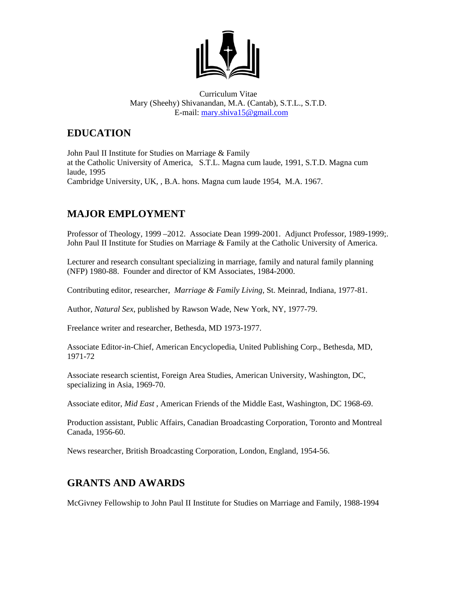

Curriculum Vitae Mary (Sheehy) Shivanandan, M.A. (Cantab), S.T.L., S.T.D. E-mail: [mary.shiva15@gmail.com](mailto:mary.shiva15@gmail.com)

## **EDUCATION**

John Paul II Institute for Studies on Marriage & Family at the Catholic University of America, S.T.L. Magna cum laude, 1991, S.T.D. Magna cum laude, 1995 Cambridge University, UK, , B.A. hons. Magna cum laude 1954, M.A. 1967.

## **MAJOR EMPLOYMENT**

Professor of Theology, 1999 –2012. Associate Dean 1999-2001. Adjunct Professor, 1989-1999;. John Paul II Institute for Studies on Marriage & Family at the Catholic University of America.

Lecturer and research consultant specializing in marriage, family and natural family planning (NFP) 1980-88. Founder and director of KM Associates, 1984-2000.

Contributing editor, researcher, *Marriage & Family Living*, St. Meinrad, Indiana, 1977-81.

Author, *Natural Sex*, published by Rawson Wade, New York, NY, 1977-79.

Freelance writer and researcher, Bethesda, MD 1973-1977.

Associate Editor-in-Chief, American Encyclopedia, United Publishing Corp., Bethesda, MD, 1971-72

Associate research scientist, Foreign Area Studies, American University, Washington, DC, specializing in Asia, 1969-70.

Associate editor, *Mid East* , American Friends of the Middle East, Washington, DC 1968-69.

Production assistant, Public Affairs, Canadian Broadcasting Corporation, Toronto and Montreal Canada, 1956-60.

News researcher, British Broadcasting Corporation, London, England, 1954-56.

### **GRANTS AND AWARDS**

McGivney Fellowship to John Paul II Institute for Studies on Marriage and Family, 1988-1994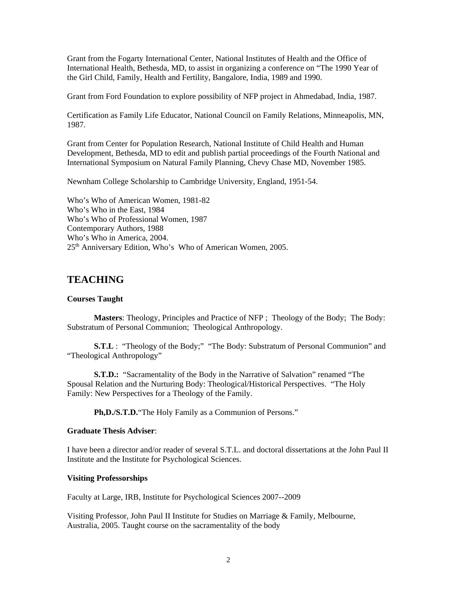Grant from the Fogarty International Center, National Institutes of Health and the Office of International Health, Bethesda, MD, to assist in organizing a conference on "The 1990 Year of the Girl Child, Family, Health and Fertility, Bangalore, India, 1989 and 1990.

Grant from Ford Foundation to explore possibility of NFP project in Ahmedabad, India, 1987.

Certification as Family Life Educator, National Council on Family Relations, Minneapolis, MN, 1987.

Grant from Center for Population Research, National Institute of Child Health and Human Development, Bethesda, MD to edit and publish partial proceedings of the Fourth National and International Symposium on Natural Family Planning, Chevy Chase MD, November 1985.

Newnham College Scholarship to Cambridge University, England, 1951-54.

Who's Who of American Women, 1981-82 Who's Who in the East, 1984 Who's Who of Professional Women, 1987 Contemporary Authors, 1988 Who's Who in America, 2004. 25<sup>th</sup> Anniversary Edition, Who's Who of American Women, 2005.

#### **TEACHING**

#### **Courses Taught**

**Masters**: Theology, Principles and Practice of NFP ; Theology of the Body; The Body: Substratum of Personal Communion; Theological Anthropology.

**S.T.L** : "Theology of the Body;" "The Body: Substratum of Personal Communion" and "Theological Anthropology"

**S.T.D.:** "Sacramentality of the Body in the Narrative of Salvation" renamed "The Spousal Relation and the Nurturing Body: Theological/Historical Perspectives. "The Holy Family: New Perspectives for a Theology of the Family.

**Ph,D./S.T.D.**"The Holy Family as a Communion of Persons."

#### **Graduate Thesis Adviser**:

I have been a director and/or reader of several S.T.L. and doctoral dissertations at the John Paul II Institute and the Institute for Psychological Sciences.

#### **Visiting Professorships**

Faculty at Large, IRB, Institute for Psychological Sciences 2007--2009

Visiting Professor, John Paul II Institute for Studies on Marriage & Family, Melbourne, Australia, 2005. Taught course on the sacramentality of the body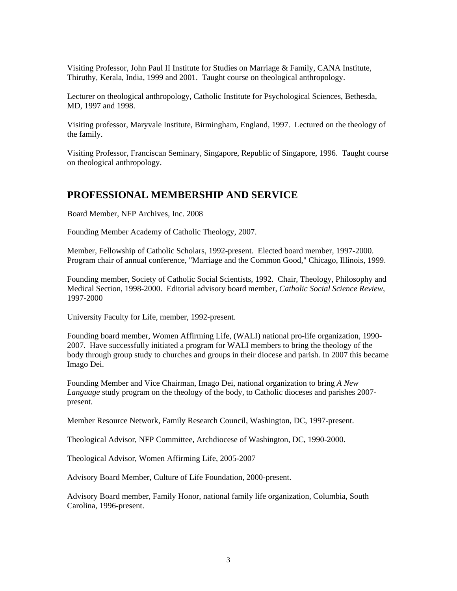Visiting Professor, John Paul II Institute for Studies on Marriage & Family, CANA Institute, Thiruthy, Kerala, India, 1999 and 2001. Taught course on theological anthropology.

Lecturer on theological anthropology, Catholic Institute for Psychological Sciences, Bethesda, MD, 1997 and 1998.

Visiting professor, Maryvale Institute, Birmingham, England, 1997. Lectured on the theology of the family.

Visiting Professor, Franciscan Seminary, Singapore, Republic of Singapore, 1996. Taught course on theological anthropology.

### **PROFESSIONAL MEMBERSHIP AND SERVICE**

Board Member, NFP Archives, Inc. 2008

Founding Member Academy of Catholic Theology, 2007.

Member, Fellowship of Catholic Scholars, 1992-present. Elected board member, 1997-2000. Program chair of annual conference, "Marriage and the Common Good," Chicago, Illinois, 1999.

Founding member, Society of Catholic Social Scientists, 1992. Chair, Theology, Philosophy and Medical Section, 1998-2000. Editorial advisory board member, *Catholic Social Science Review*, 1997-2000

University Faculty for Life, member, 1992-present.

Founding board member, Women Affirming Life, (WALI) national pro-life organization, 1990- 2007. Have successfully initiated a program for WALI members to bring the theology of the body through group study to churches and groups in their diocese and parish. In 2007 this became Imago Dei.

Founding Member and Vice Chairman, Imago Dei, national organization to bring *A New Language* study program on the theology of the body, to Catholic dioceses and parishes 2007 present.

Member Resource Network, Family Research Council, Washington, DC, 1997-present.

Theological Advisor, NFP Committee, Archdiocese of Washington, DC, 1990-2000.

Theological Advisor, Women Affirming Life, 2005-2007

Advisory Board Member, Culture of Life Foundation, 2000-present.

Advisory Board member, Family Honor, national family life organization, Columbia, South Carolina, 1996-present.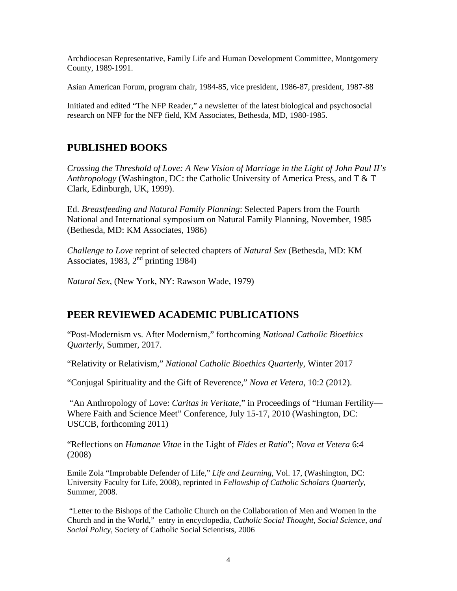Archdiocesan Representative, Family Life and Human Development Committee, Montgomery County, 1989-1991.

Asian American Forum, program chair, 1984-85, vice president, 1986-87, president, 1987-88

Initiated and edited "The NFP Reader," a newsletter of the latest biological and psychosocial research on NFP for the NFP field, KM Associates, Bethesda, MD, 1980-1985.

# **PUBLISHED BOOKS**

*Crossing the Threshold of Love: A New Vision of Marriage in the Light of John Paul II's Anthropology* (Washington, DC: the Catholic University of America Press, and T & T Clark, Edinburgh, UK, 1999).

Ed. *Breastfeeding and Natural Family Planning*: Selected Papers from the Fourth National and International symposium on Natural Family Planning, November, 1985 (Bethesda, MD: KM Associates, 1986)

*Challenge to Love* reprint of selected chapters of *Natural Sex* (Bethesda, MD: KM Associates, 1983,  $2<sup>nd</sup>$  printing 1984)

*Natural Sex*, (New York, NY: Rawson Wade, 1979)

## **PEER REVIEWED ACADEMIC PUBLICATIONS**

"Post-Modernism vs. After Modernism," forthcoming *National Catholic Bioethics Quarterly*, Summer, 2017.

"Relativity or Relativism," *National Catholic Bioethics Quarterly*, Winter 2017

"Conjugal Spirituality and the Gift of Reverence," *Nova et Vetera*, 10:2 (2012).

"An Anthropology of Love: *Caritas in Veritate*," in Proceedings of "Human Fertility— Where Faith and Science Meet" Conference, July 15-17, 2010 (Washington, DC: USCCB, forthcoming 2011)

"Reflections on *Humanae Vitae* in the Light of *Fides et Ratio*"; *Nova et Vetera* 6:4 (2008)

Emile Zola "Improbable Defender of Life," *Life and Learning*, Vol. 17, (Washington, DC: University Faculty for Life, 2008), reprinted in *Fellowship of Catholic Scholars Quarterly*, Summer, 2008.

"Letter to the Bishops of the Catholic Church on the Collaboration of Men and Women in the Church and in the World," entry in encyclopedia, *Catholic Social Thought, Social Science, and Social Policy,* Society of Catholic Social Scientists, 2006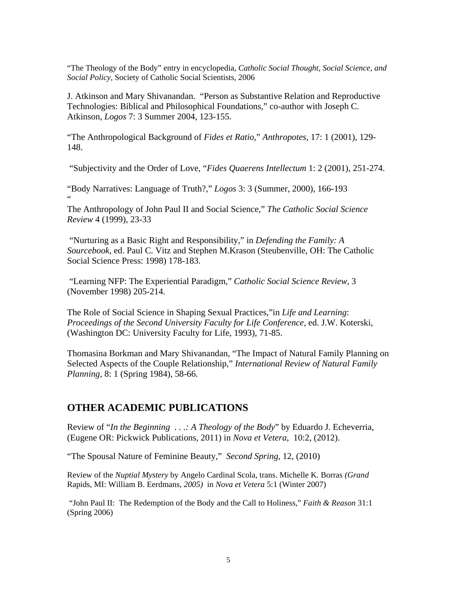"The Theology of the Body" entry in encyclopedia, *Catholic Social Thought, Social Science, and Social Policy,* Society of Catholic Social Scientists, 2006

J. Atkinson and Mary Shivanandan. "Person as Substantive Relation and Reproductive Technologies: Biblical and Philosophical Foundations," co-author with Joseph C. Atkinson, *Logos* 7: 3 Summer 2004, 123-155.

"The Anthropological Background of *Fides et Ratio*," *Anthropotes,* 17: 1 (2001), 129- 148.

"Subjectivity and the Order of Love, "*Fides Quaerens Intellectum* 1: 2 (2001), 251-274.

"Body Narratives: Language of Truth?," *Logos* 3: 3 (Summer, 2000), 166-193 "

The Anthropology of John Paul II and Social Science," *The Catholic Social Science Review* 4 (1999), 23-33

"Nurturing as a Basic Right and Responsibility," in *Defending the Family: A Sourcebook,* ed. Paul C. Vitz and Stephen M.Krason (Steubenville, OH: The Catholic Social Science Press: 1998) 178-183.

"Learning NFP: The Experiential Paradigm," *Catholic Social Science Review*, 3 (November 1998) 205-214.

The Role of Social Science in Shaping Sexual Practices,"in *Life and Learning*: *Proceedings of the Second University Faculty for Life Conference,* ed. J.W. Koterski, (Washington DC: University Faculty for Life, 1993), 71-85.

Thomasina Borkman and Mary Shivanandan, "The Impact of Natural Family Planning on Selected Aspects of the Couple Relationship," *International Review of Natural Family Planning,* 8: 1 (Spring 1984), 58-66.

### **OTHER ACADEMIC PUBLICATIONS**

Review of "*In the Beginning . . .: A Theology of the Body*" by Eduardo J. Echeverria, (Eugene OR: Pickwick Publications, 2011) in *Nova et Vetera*, 10:2, (2012).

"The Spousal Nature of Feminine Beauty," *Second Spring*, 12, (2010)

Review of the *Nuptial Mystery* by Angelo Cardinal Scola, trans. Michelle K. Borras *(Grand*  Rapids, MI: William B. Eerdmans*, 2005)* in *Nova et Vetera* 5:1 (Winter 2007)

"John Paul II: The Redemption of the Body and the Call to Holiness," *Faith & Reason* 31:1 (Spring 2006)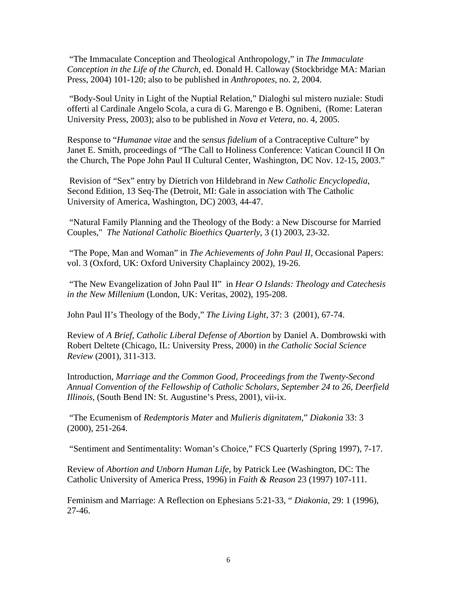"The Immaculate Conception and Theological Anthropology," in *The Immaculate Conception in the Life of the Church*, ed. Donald H. Calloway (Stockbridge MA: Marian Press, 2004) 101-120; also to be published in *Anthropotes,* no. 2, 2004.

"Body-Soul Unity in Light of the Nuptial Relation," Dialoghi sul mistero nuziale: Studi offerti al Cardinale Angelo Scola, a cura di G. Marengo e B. Ognibeni, (Rome: Lateran University Press, 2003); also to be published in *Nova et Vetera,* no. 4, 2005.

Response to "*Humanae vitae* and the *sensus fidelium* of a Contraceptive Culture" by Janet E. Smith, proceedings of "The Call to Holiness Conference: Vatican Council II On the Church, The Pope John Paul II Cultural Center, Washington, DC Nov. 12-15, 2003."

Revision of "Sex" entry by Dietrich von Hildebrand in *New Catholic Encyclopedia*, Second Edition, 13 Seq-The (Detroit, MI: Gale in association with The Catholic University of America, Washington, DC) 2003, 44-47.

"Natural Family Planning and the Theology of the Body: a New Discourse for Married Couples," *The National Catholic Bioethics Quarterly*, 3 (1) 2003, 23-32.

"The Pope, Man and Woman" in *The Achievements of John Paul II,* Occasional Papers: vol. 3 (Oxford, UK: Oxford University Chaplaincy 2002), 19-26.

"The New Evangelization of John Paul II" in *Hear O Islands: Theology and Catechesis in the New Millenium* (London, UK: Veritas, 2002), 195-208.

John Paul II's Theology of the Body," *The Living Light,* 37: 3 (2001), 67-74.

Review of *A Brief, Catholic Liberal Defense of Abortion* by Daniel A. Dombrowski with Robert Deltete (Chicago, IL: University Press, 2000) in *the Catholic Social Science Review* (2001), 311-313.

Introduction, *Marriage and the Common Good, Proceedings from the Twenty-Second Annual Convention of the Fellowship of Catholic Scholars, September 24 to 26, Deerfield Illinois,* (South Bend IN: St. Augustine's Press, 2001), vii-ix.

"The Ecumenism of *Redemptoris Mater* and *Mulieris dignitatem*," *Diakonia* 33: 3 (2000), 251-264.

"Sentiment and Sentimentality: Woman's Choice," FCS Quarterly (Spring 1997), 7-17.

Review of *Abortion and Unborn Human Life,* by Patrick Lee (Washington, DC: The Catholic University of America Press, 1996) in *Faith & Reason* 23 (1997) 107-111.

Feminism and Marriage: A Reflection on Ephesians 5:21-33, " *Diakonia,* 29: 1 (1996), 27-46.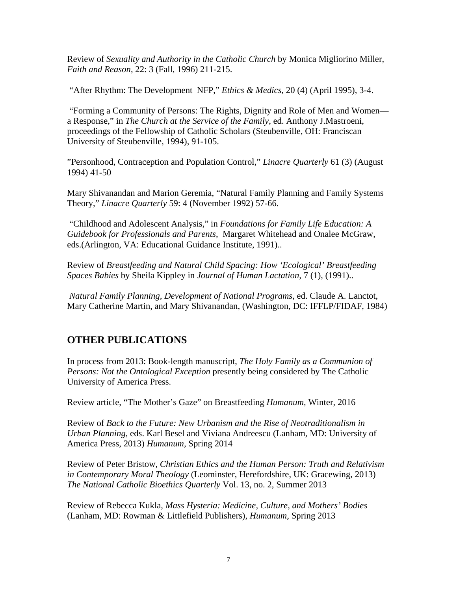Review of *Sexuality and Authority in the Catholic Church* by Monica Migliorino Miller, *Faith and Reason,* 22: 3 (Fall, 1996) 211-215.

"After Rhythm: The Development NFP," *Ethics & Medics,* 20 (4) (April 1995), 3-4.

"Forming a Community of Persons: The Rights, Dignity and Role of Men and Women a Response," in *The Church at the Service of the Family*, ed. Anthony J.Mastroeni, proceedings of the Fellowship of Catholic Scholars (Steubenville, OH: Franciscan University of Steubenville, 1994), 91-105.

"Personhood, Contraception and Population Control," *Linacre Quarterly* 61 (3) (August 1994) 41-50

Mary Shivanandan and Marion Geremia, "Natural Family Planning and Family Systems Theory," *Linacre Quarterly* 59: 4 (November 1992) 57-66.

"Childhood and Adolescent Analysis," in *Foundations for Family Life Education: A Guidebook for Professionals and Parents*, Margaret Whitehead and Onalee McGraw, eds.(Arlington, VA: Educational Guidance Institute, 1991)..

Review of *Breastfeeding and Natural Child Spacing: How 'Ecological' Breastfeeding Spaces Babies* by Sheila Kippley in *Journal of Human Lactation,* 7 (1), (1991)..

*Natural Family Planning, Development of National Programs,* ed. Claude A. Lanctot, Mary Catherine Martin, and Mary Shivanandan, (Washington, DC: IFFLP/FIDAF, 1984)

## **OTHER PUBLICATIONS**

In process from 2013: Book-length manuscript, *The Holy Family as a Communion of Persons: Not the Ontological Exception* presently being considered by The Catholic University of America Press.

Review article, "The Mother's Gaze" on Breastfeeding *Humanum,* Winter, 2016

Review of *Back to the Future: New Urbanism and the Rise of Neotraditionalism in Urban Planning*, eds. Karl Besel and Viviana Andreescu (Lanham, MD: University of America Press, 2013) *Humanum,* Spring 2014

Review of Peter Bristow, *Christian Ethics and the Human Person: Truth and Relativism in Contemporary Moral Theology* (Leominster, Herefordshire, UK: Gracewing, 2013) *The National Catholic Bioethics Quarterly* Vol. 13, no. 2, Summer 2013

Review of Rebecca Kukla, *Mass Hysteria: Medicine, Culture, and Mothers' Bodies*  (Lanham, MD: Rowman & Littlefield Publishers), *Humanum,* Spring 2013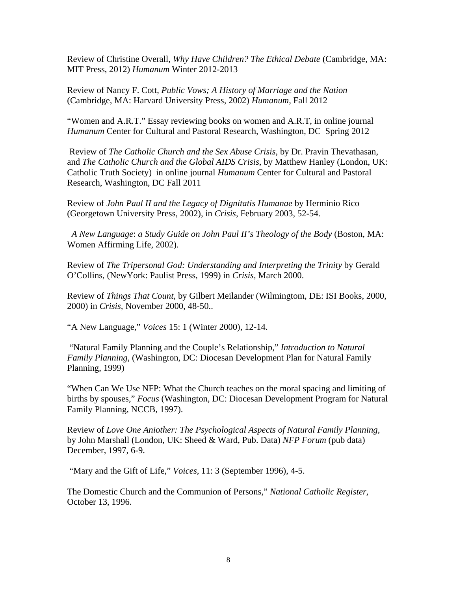Review of Christine Overall, *Why Have Children? The Ethical Debate* (Cambridge, MA: MIT Press, 2012) *Humanum* Winter 2012-2013

Review of Nancy F. Cott, *Public Vows; A History of Marriage and the Nation*  (Cambridge, MA: Harvard University Press, 2002) *Humanum,* Fall 2012

"Women and A.R.T." Essay reviewing books on women and A.R.T, in online journal *Humanum* Center for Cultural and Pastoral Research, Washington, DC Spring 2012

Review of *The Catholic Church and the Sex Abuse Crisis*, by Dr. Pravin Thevathasan, and *The Catholic Church and the Global AIDS Crisis*, by Matthew Hanley (London, UK: Catholic Truth Society) in online journal *Humanum* Center for Cultural and Pastoral Research, Washington, DC Fall 2011

Review of *John Paul II and the Legacy of Dignitatis Humanae* by Herminio Rico (Georgetown University Press, 2002), in *Crisis*, February 2003, 52-54.

 *A New Language*: *a Study Guide on John Paul II's Theology of the Body* (Boston, MA: Women Affirming Life, 2002).

Review of *The Tripersonal God: Understanding and Interpreting the Trinity* by Gerald O'Collins, (NewYork: Paulist Press, 1999) in *Crisis,* March 2000.

Review of *Things That Count,* by Gilbert Meilander (Wilmingtom, DE: ISI Books, 2000, 2000) in *Crisis,* November 2000, 48-50..

"A New Language," *Voices* 15: 1 (Winter 2000), 12-14.

"Natural Family Planning and the Couple's Relationship," *Introduction to Natural Family Planning*, (Washington, DC: Diocesan Development Plan for Natural Family Planning, 1999)

"When Can We Use NFP: What the Church teaches on the moral spacing and limiting of births by spouses," *Focus* (Washington, DC: Diocesan Development Program for Natural Family Planning, NCCB, 1997).

Review of *Love One Aniother: The Psychological Aspects of Natural Family Planning,*  by John Marshall (London, UK: Sheed & Ward, Pub. Data) *NFP Forum* (pub data) December, 1997, 6-9.

"Mary and the Gift of Life," *Voices,* 11: 3 (September 1996), 4-5.

The Domestic Church and the Communion of Persons," *National Catholic Register,*  October 13, 1996.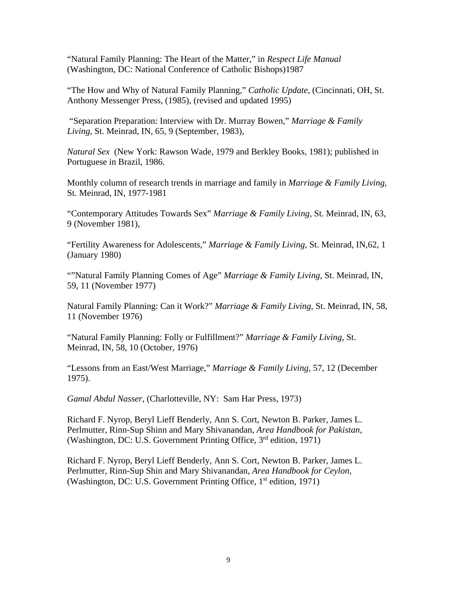"Natural Family Planning: The Heart of the Matter," in *Respect Life Manual* (Washington, DC: National Conference of Catholic Bishops)1987

"The How and Why of Natural Family Planning," *Catholic Update*, (Cincinnati, OH, St. Anthony Messenger Press, (1985), (revised and updated 1995)

"Separation Preparation: Interview with Dr. Murray Bowen," *Marriage & Family Living,* St. Meinrad, IN, 65, 9 (September, 1983),

*Natural Sex* (New York: Rawson Wade, 1979 and Berkley Books, 1981); published in Portuguese in Brazil, 1986.

Monthly column of research trends in marriage and family in *Marriage & Family Living,*  St. Meinrad, IN, 1977-1981

"Contemporary Attitudes Towards Sex" *Marriage & Family Living,* St. Meinrad, IN, 63, 9 (November 1981),

"Fertility Awareness for Adolescents," *Marriage & Family Living,* St. Meinrad, IN,62, 1 (January 1980)

""Natural Family Planning Comes of Age" *Marriage & Family Living,* St. Meinrad, IN, 59, 11 (November 1977)

Natural Family Planning: Can it Work?" *Marriage & Family Living,* St. Meinrad, IN, 58, 11 (November 1976)

"Natural Family Planning: Folly or Fulfillment?" *Marriage & Family Living,* St. Meinrad, IN, 58, 10 (October, 1976)

"Lessons from an East/West Marriage," *Marriage & Family Living,* 57, 12 (December 1975).

*Gamal Abdul Nasser*, (Charlotteville, NY: Sam Har Press, 1973)

Richard F. Nyrop, Beryl Lieff Benderly, Ann S. Cort, Newton B. Parker, James L. Perlmutter, Rinn-Sup Shinn and Mary Shivanandan, *Area Handbook for Pakistan,* (Washington, DC: U.S. Government Printing Office, 3rd edition, 1971)

Richard F. Nyrop, Beryl Lieff Benderly, Ann S. Cort, Newton B. Parker, James L. Perlmutter, Rinn-Sup Shin and Mary Shivanandan, *Area Handbook for Ceylon*, (Washington, DC: U.S. Government Printing Office, 1<sup>st</sup> edition, 1971)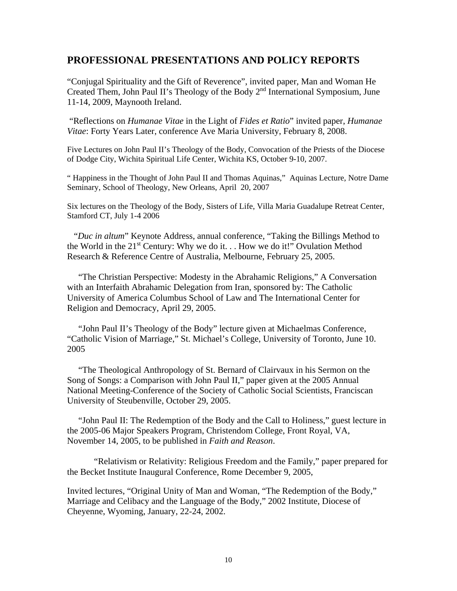### **PROFESSIONAL PRESENTATIONS AND POLICY REPORTS**

"Conjugal Spirituality and the Gift of Reverence", invited paper, Man and Woman He Created Them, John Paul II's Theology of the Body 2nd International Symposium, June 11-14, 2009, Maynooth Ireland.

"Reflections on *Humanae Vitae* in the Light of *Fides et Ratio*" invited paper, *Humanae Vitae*: Forty Years Later, conference Ave Maria University, February 8, 2008.

Five Lectures on John Paul II's Theology of the Body, Convocation of the Priests of the Diocese of Dodge City, Wichita Spiritual Life Center, Wichita KS, October 9-10, 2007.

" Happiness in the Thought of John Paul II and Thomas Aquinas," Aquinas Lecture, Notre Dame Seminary, School of Theology, New Orleans, April 20, 2007

Six lectures on the Theology of the Body, Sisters of Life, Villa Maria Guadalupe Retreat Center, Stamford CT, July 1-4 2006

 "*Duc in altum*" Keynote Address, annual conference, "Taking the Billings Method to the World in the  $21^{st}$  Century: Why we do it. . . How we do it!" Ovulation Method Research & Reference Centre of Australia, Melbourne, February 25, 2005.

 "The Christian Perspective: Modesty in the Abrahamic Religions," A Conversation with an Interfaith Abrahamic Delegation from Iran, sponsored by: The Catholic University of America Columbus School of Law and The International Center for Religion and Democracy, April 29, 2005.

 "John Paul II's Theology of the Body" lecture given at Michaelmas Conference, "Catholic Vision of Marriage," St. Michael's College, University of Toronto, June 10. 2005

 "The Theological Anthropology of St. Bernard of Clairvaux in his Sermon on the Song of Songs: a Comparison with John Paul II," paper given at the 2005 Annual National Meeting-Conference of the Society of Catholic Social Scientists, Franciscan University of Steubenville, October 29, 2005.

 "John Paul II: The Redemption of the Body and the Call to Holiness," guest lecture in the 2005-06 Major Speakers Program, Christendom College, Front Royal, VA, November 14, 2005, to be published in *Faith and Reason*.

 "Relativism or Relativity: Religious Freedom and the Family," paper prepared for the Becket Institute Inaugural Conference, Rome December 9, 2005,

Invited lectures, "Original Unity of Man and Woman, "The Redemption of the Body," Marriage and Celibacy and the Language of the Body," 2002 Institute, Diocese of Cheyenne, Wyoming, January, 22-24, 2002.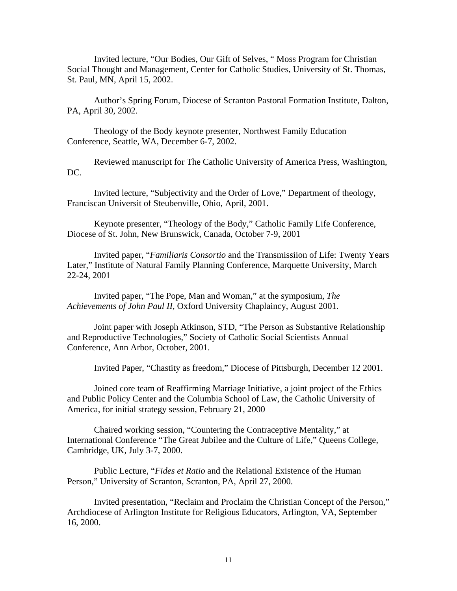Invited lecture, "Our Bodies, Our Gift of Selves, " Moss Program for Christian Social Thought and Management, Center for Catholic Studies, University of St. Thomas, St. Paul, MN, April 15, 2002.

Author's Spring Forum, Diocese of Scranton Pastoral Formation Institute, Dalton, PA, April 30, 2002.

Theology of the Body keynote presenter, Northwest Family Education Conference, Seattle, WA, December 6-7, 2002.

Reviewed manuscript for The Catholic University of America Press, Washington, DC.

Invited lecture, "Subjectivity and the Order of Love," Department of theology, Franciscan Universit of Steubenville, Ohio, April, 2001.

Keynote presenter, "Theology of the Body," Catholic Family Life Conference, Diocese of St. John, New Brunswick, Canada, October 7-9, 2001

Invited paper, "*Familiaris Consortio* and the Transmissiion of Life: Twenty Years Later," Institute of Natural Family Planning Conference, Marquette University, March 22-24, 2001

Invited paper, "The Pope, Man and Woman," at the symposium, *The Achievements of John Paul II,* Oxford University Chaplaincy, August 2001.

Joint paper with Joseph Atkinson, STD, "The Person as Substantive Relationship and Reproductive Technologies," Society of Catholic Social Scientists Annual Conference, Ann Arbor, October, 2001.

Invited Paper, "Chastity as freedom," Diocese of Pittsburgh, December 12 2001.

Joined core team of Reaffirming Marriage Initiative, a joint project of the Ethics and Public Policy Center and the Columbia School of Law, the Catholic University of America, for initial strategy session, February 21, 2000

Chaired working session, "Countering the Contraceptive Mentality," at International Conference "The Great Jubilee and the Culture of Life," Queens College, Cambridge, UK, July 3-7, 2000.

Public Lecture, "*Fides et Ratio* and the Relational Existence of the Human Person," University of Scranton, Scranton, PA, April 27, 2000.

Invited presentation, "Reclaim and Proclaim the Christian Concept of the Person," Archdiocese of Arlington Institute for Religious Educators, Arlington, VA, September 16, 2000.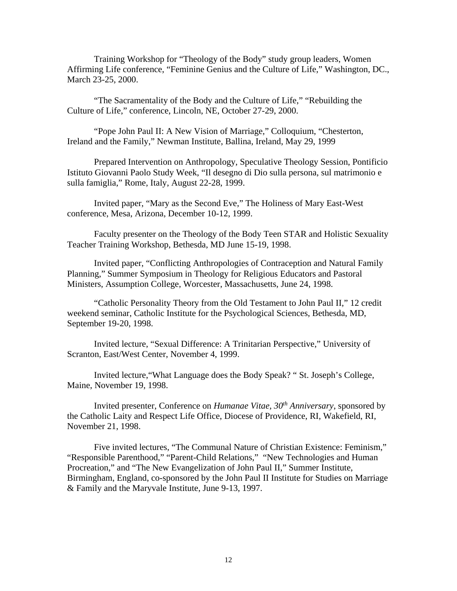Training Workshop for "Theology of the Body" study group leaders, Women Affirming Life conference, "Feminine Genius and the Culture of Life," Washington, DC., March 23-25, 2000.

"The Sacramentality of the Body and the Culture of Life," "Rebuilding the Culture of Life," conference, Lincoln, NE, October 27-29, 2000.

"Pope John Paul II: A New Vision of Marriage," Colloquium, "Chesterton, Ireland and the Family," Newman Institute, Ballina, Ireland, May 29, 1999

Prepared Intervention on Anthropology, Speculative Theology Session, Pontificio Istituto Giovanni Paolo Study Week, "Il desegno di Dio sulla persona, sul matrimonio e sulla famiglia," Rome, Italy, August 22-28, 1999.

Invited paper, "Mary as the Second Eve," The Holiness of Mary East-West conference, Mesa, Arizona, December 10-12, 1999.

Faculty presenter on the Theology of the Body Teen STAR and Holistic Sexuality Teacher Training Workshop, Bethesda, MD June 15-19, 1998.

Invited paper, "Conflicting Anthropologies of Contraception and Natural Family Planning," Summer Symposium in Theology for Religious Educators and Pastoral Ministers, Assumption College, Worcester, Massachusetts, June 24, 1998.

"Catholic Personality Theory from the Old Testament to John Paul II," 12 credit weekend seminar, Catholic Institute for the Psychological Sciences, Bethesda, MD, September 19-20, 1998.

Invited lecture, "Sexual Difference: A Trinitarian Perspective," University of Scranton, East/West Center, November 4, 1999.

Invited lecture,"What Language does the Body Speak? " St. Joseph's College, Maine, November 19, 1998.

Invited presenter, Conference on *Humanae Vitae, 30th Anniversary*, sponsored by the Catholic Laity and Respect Life Office, Diocese of Providence, RI, Wakefield, RI, November 21, 1998.

Five invited lectures, "The Communal Nature of Christian Existence: Feminism," "Responsible Parenthood," "Parent-Child Relations," "New Technologies and Human Procreation," and "The New Evangelization of John Paul II," Summer Institute, Birmingham, England, co-sponsored by the John Paul II Institute for Studies on Marriage & Family and the Maryvale Institute, June 9-13, 1997.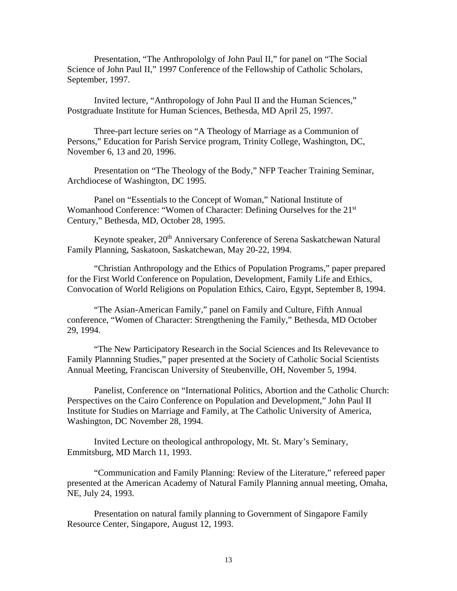Presentation, "The Anthropololgy of John Paul II," for panel on "The Social Science of John Paul II," 1997 Conference of the Fellowship of Catholic Scholars, September, 1997.

Invited lecture, "Anthropology of John Paul II and the Human Sciences," Postgraduate Institute for Human Sciences, Bethesda, MD April 25, 1997.

Three-part lecture series on "A Theology of Marriage as a Communion of Persons," Education for Parish Service program, Trinity College, Washington, DC, November 6, 13 and 20, 1996.

Presentation on "The Theology of the Body," NFP Teacher Training Seminar, Archdiocese of Washington, DC 1995.

Panel on "Essentials to the Concept of Woman," National Institute of Womanhood Conference: "Women of Character: Defining Ourselves for the 21<sup>st</sup> Century," Bethesda, MD, October 28, 1995.

Keynote speaker, 20<sup>th</sup> Anniversary Conference of Serena Saskatchewan Natural Family Planning, Saskatoon, Saskatchewan, May 20-22, 1994.

"Christian Anthropology and the Ethics of Population Programs," paper prepared for the First World Conference on Population, Development, Family Life and Ethics, Convocation of World Religions on Population Ethics, Cairo, Egypt, September 8, 1994.

"The Asian-American Family," panel on Family and Culture, Fifth Annual conference, "Women of Character: Strengthening the Family," Bethesda, MD October 29, 1994.

"The New Participatory Research in the Social Sciences and Its Relevevance to Family Plannning Studies," paper presented at the Society of Catholic Social Scientists Annual Meeting, Franciscan University of Steubenville, OH, November 5, 1994.

Panelist, Conference on "International Politics, Abortion and the Catholic Church: Perspectives on the Cairo Conference on Population and Development," John Paul II Institute for Studies on Marriage and Family, at The Catholic University of America, Washington, DC November 28, 1994.

Invited Lecture on theological anthropology, Mt. St. Mary's Seminary, Emmitsburg, MD March 11, 1993.

"Communication and Family Planning: Review of the Literature," refereed paper presented at the American Academy of Natural Family Planning annual meeting, Omaha, NE, July 24, 1993.

Presentation on natural family planning to Government of Singapore Family Resource Center, Singapore, August 12, 1993.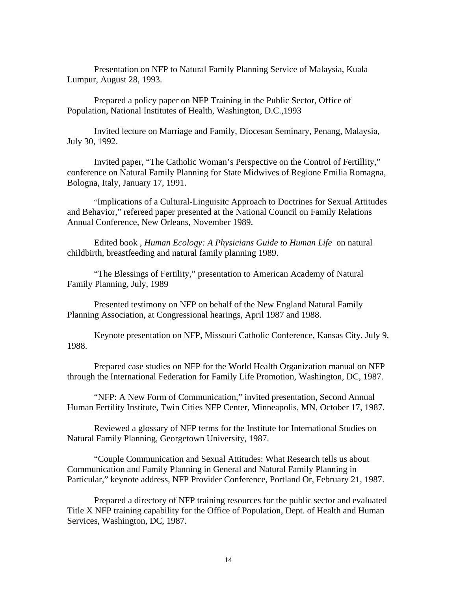Presentation on NFP to Natural Family Planning Service of Malaysia, Kuala Lumpur, August 28, 1993.

Prepared a policy paper on NFP Training in the Public Sector, Office of Population, National Institutes of Health, Washington, D.C.,1993

Invited lecture on Marriage and Family, Diocesan Seminary, Penang, Malaysia, July 30, 1992.

Invited paper, "The Catholic Woman's Perspective on the Control of Fertillity," conference on Natural Family Planning for State Midwives of Regione Emilia Romagna, Bologna, Italy, January 17, 1991.

"Implications of a Cultural-Linguisitc Approach to Doctrines for Sexual Attitudes and Behavior," refereed paper presented at the National Council on Family Relations Annual Conference, New Orleans, November 1989.

Edited book , *Human Ecology: A Physicians Guide to Human Life* on natural childbirth, breastfeeding and natural family planning 1989.

"The Blessings of Fertility," presentation to American Academy of Natural Family Planning, July, 1989

Presented testimony on NFP on behalf of the New England Natural Family Planning Association, at Congressional hearings, April 1987 and 1988.

Keynote presentation on NFP, Missouri Catholic Conference, Kansas City, July 9, 1988.

Prepared case studies on NFP for the World Health Organization manual on NFP through the International Federation for Family Life Promotion, Washington, DC, 1987.

"NFP: A New Form of Communication," invited presentation, Second Annual Human Fertility Institute, Twin Cities NFP Center, Minneapolis, MN, October 17, 1987.

Reviewed a glossary of NFP terms for the Institute for International Studies on Natural Family Planning, Georgetown University, 1987.

"Couple Communication and Sexual Attitudes: What Research tells us about Communication and Family Planning in General and Natural Family Planning in Particular," keynote address, NFP Provider Conference, Portland Or, February 21, 1987.

Prepared a directory of NFP training resources for the public sector and evaluated Title X NFP training capability for the Office of Population, Dept. of Health and Human Services, Washington, DC, 1987.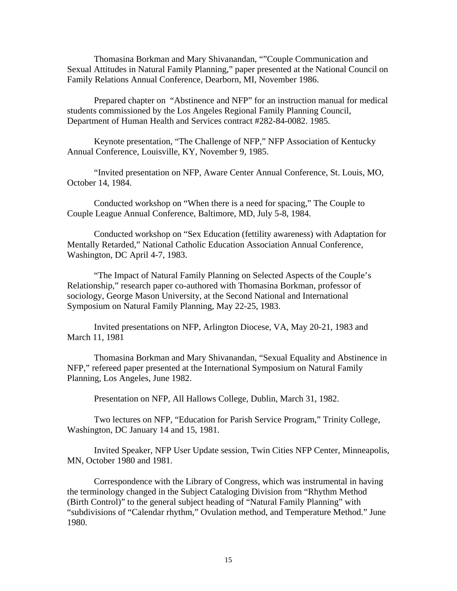Thomasina Borkman and Mary Shivanandan, ""Couple Communication and Sexual Attitudes in Natural Family Planning," paper presented at the National Council on Family Relations Annual Conference, Dearborn, MI, November 1986.

Prepared chapter on "Abstinence and NFP" for an instruction manual for medical students commissioned by the Los Angeles Regional Family Planning Council, Department of Human Health and Services contract #282-84-0082. 1985.

Keynote presentation, "The Challenge of NFP," NFP Association of Kentucky Annual Conference, Louisville, KY, November 9, 1985.

"Invited presentation on NFP, Aware Center Annual Conference, St. Louis, MO, October 14, 1984.

Conducted workshop on "When there is a need for spacing," The Couple to Couple League Annual Conference, Baltimore, MD, July 5-8, 1984.

Conducted workshop on "Sex Education (fettility awareness) with Adaptation for Mentally Retarded," National Catholic Education Association Annual Conference, Washington, DC April 4-7, 1983.

"The Impact of Natural Family Planning on Selected Aspects of the Couple's Relationship," research paper co-authored with Thomasina Borkman, professor of sociology, George Mason University, at the Second National and International Symposium on Natural Family Planning, May 22-25, 1983.

Invited presentations on NFP, Arlington Diocese, VA, May 20-21, 1983 and March 11, 1981

Thomasina Borkman and Mary Shivanandan, "Sexual Equality and Abstinence in NFP," refereed paper presented at the International Symposium on Natural Family Planning, Los Angeles, June 1982.

Presentation on NFP, All Hallows College, Dublin, March 31, 1982.

Two lectures on NFP, "Education for Parish Service Program," Trinity College, Washington, DC January 14 and 15, 1981.

Invited Speaker, NFP User Update session, Twin Cities NFP Center, Minneapolis, MN, October 1980 and 1981.

Correspondence with the Library of Congress, which was instrumental in having the terminology changed in the Subject Cataloging Division from "Rhythm Method (Birth Control)" to the general subject heading of "Natural Family Planning" with "subdivisions of "Calendar rhythm," Ovulation method, and Temperature Method." June 1980.